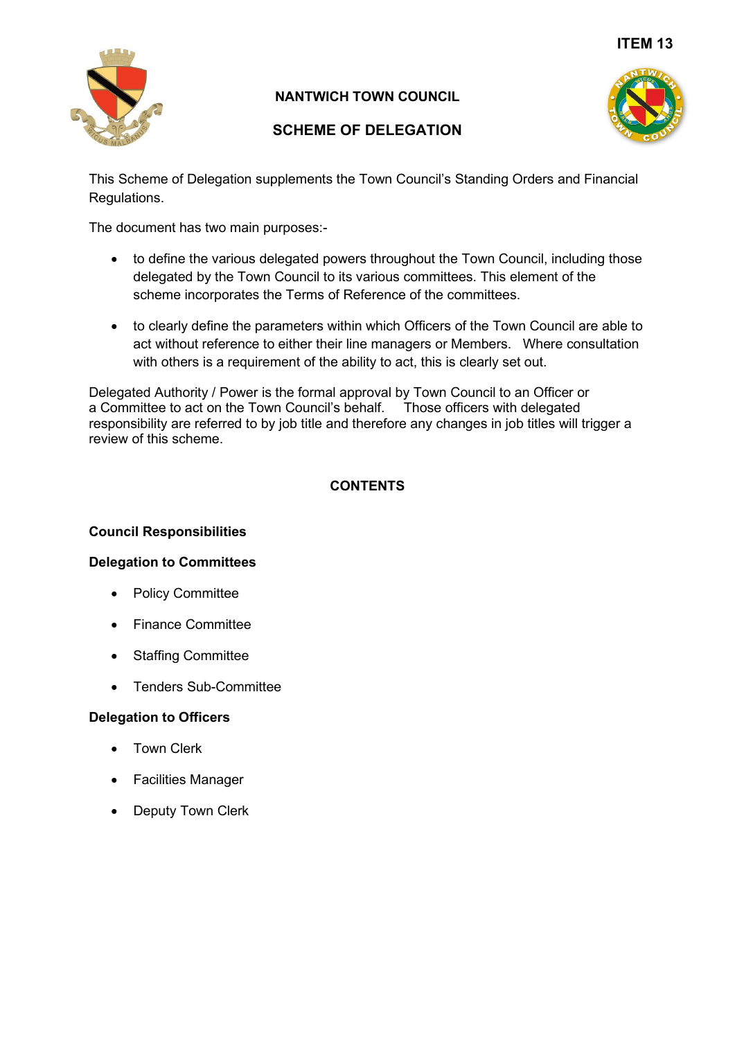

# **NANTWICH TOWN COUNCIL**

# **SCHEME OF DELEGATION**



This Scheme of Delegation supplements the Town Council's Standing Orders and Financial Regulations.

The document has two main purposes:-

- to define the various delegated powers throughout the Town Council, including those delegated by the Town Council to its various committees. This element of the scheme incorporates the Terms of Reference of the committees.
- to clearly define the parameters within which Officers of the Town Council are able to act without reference to either their line managers or Members. Where consultation with others is a requirement of the ability to act, this is clearly set out.

Delegated Authority / Power is the formal approval by Town Council to an Officer or a Committee to act on the Town Council's behalf. Those officers with delegated responsibility are referred to by job title and therefore any changes in job titles will trigger a review of this scheme.

# **CONTENTS**

#### **Council Responsibilities**

### **Delegation to Committees**

- Policy Committee
- Finance Committee
- Staffing Committee
- Tenders Sub-Committee

#### **Delegation to Officers**

- Town Clerk
- Facilities Manager
- Deputy Town Clerk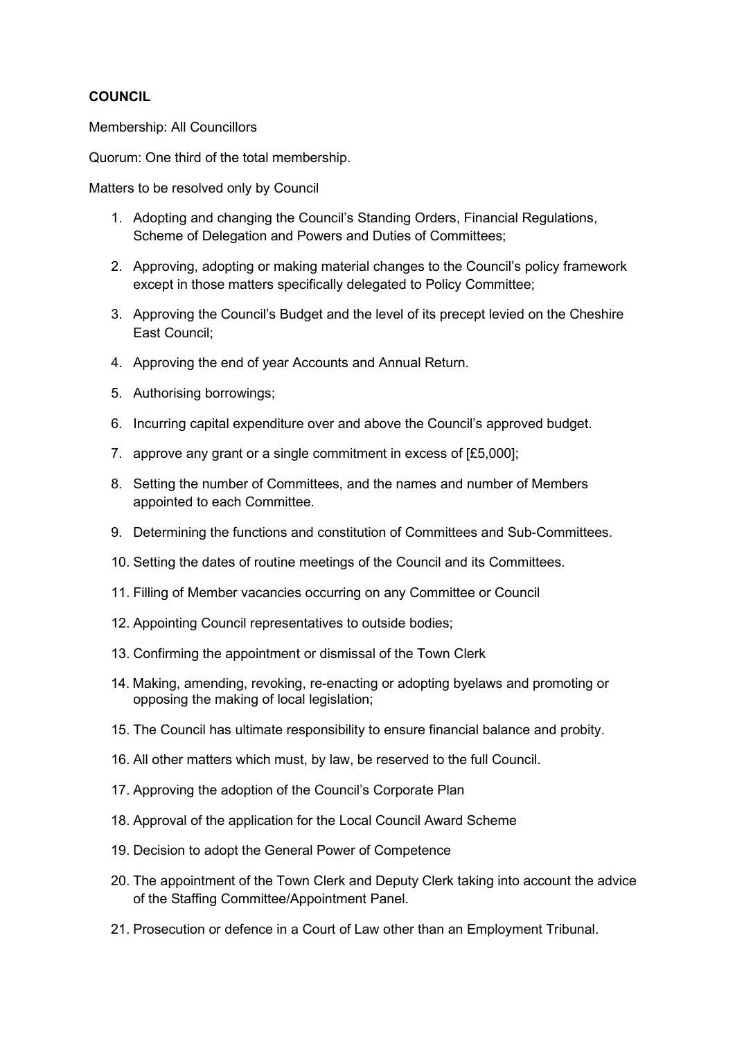### **COUNCIL**

Membership: All Councillors

Quorum: One third of the total membership.

Matters to be resolved only by Council

- 1. Adopting and changing the Council's Standing Orders, Financial Regulations, Scheme of Delegation and Powers and Duties of Committees;
- 2. Approving, adopting or making material changes to the Council's policy framework except in those matters specifically delegated to Policy Committee;
- 3. Approving the Council's Budget and the level of its precept levied on the Cheshire East Council;
- 4. Approving the end of year Accounts and Annual Return.
- 5. Authorising borrowings;
- 6. Incurring capital expenditure over and above the Council's approved budget.
- 7. approve any grant or a single commitment in excess of [£5,000];
- 8. Setting the number of Committees, and the names and number of Members appointed to each Committee.
- 9. Determining the functions and constitution of Committees and Sub-Committees.
- 10. Setting the dates of routine meetings of the Council and its Committees.
- 11. Filling of Member vacancies occurring on any Committee or Council
- 12. Appointing Council representatives to outside bodies;
- 13. Confirming the appointment or dismissal of the Town Clerk
- 14. Making, amending, revoking, re-enacting or adopting byelaws and promoting or opposing the making of local legislation;
- 15. The Council has ultimate responsibility to ensure financial balance and probity.
- 16. All other matters which must, by law, be reserved to the full Council.
- 17. Approving the adoption of the Council's Corporate Plan
- 18. Approval of the application for the Local Council Award Scheme
- 19. Decision to adopt the General Power of Competence
- 20. The appointment of the Town Clerk and Deputy Clerk taking into account the advice of the Staffing Committee/Appointment Panel.
- 21. Prosecution or defence in a Court of Law other than an Employment Tribunal.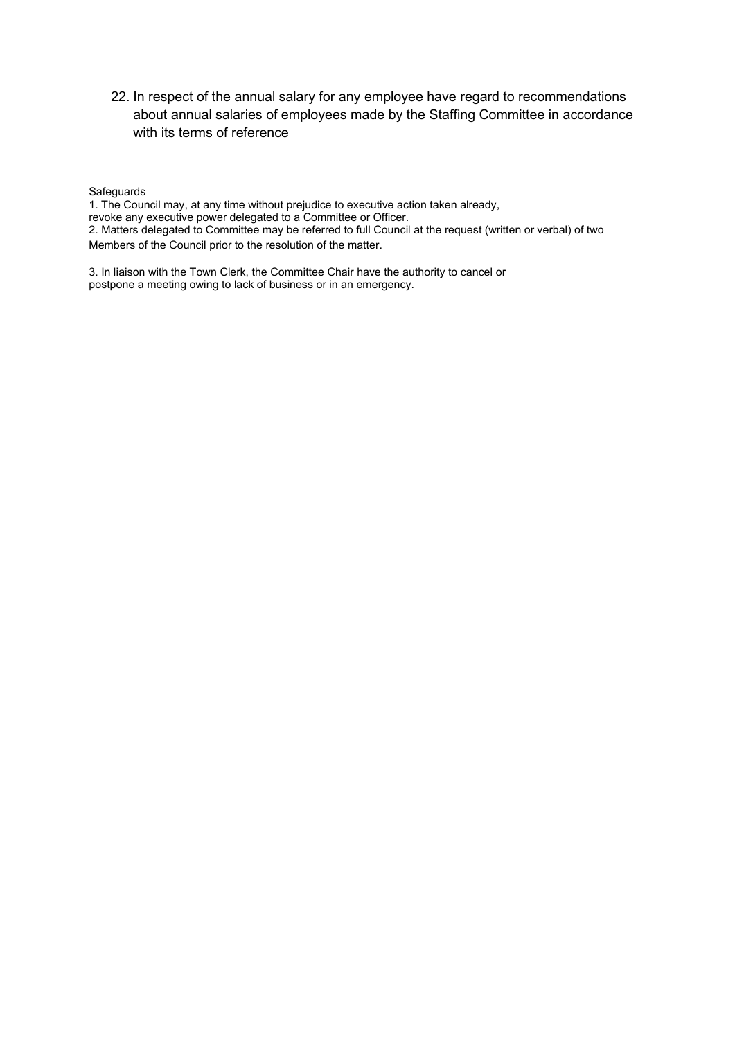22. In respect of the annual salary for any employee have regard to recommendations about annual salaries of employees made by the Staffing Committee in accordance with its terms of reference

#### **Safeguards**

1. The Council may, at any time without prejudice to executive action taken already,

revoke any executive power delegated to a Committee or Officer.

2. Matters delegated to Committee may be referred to full Council at the request (written or verbal) of two Members of the Council prior to the resolution of the matter.

3. In liaison with the Town Clerk, the Committee Chair have the authority to cancel or postpone a meeting owing to lack of business or in an emergency.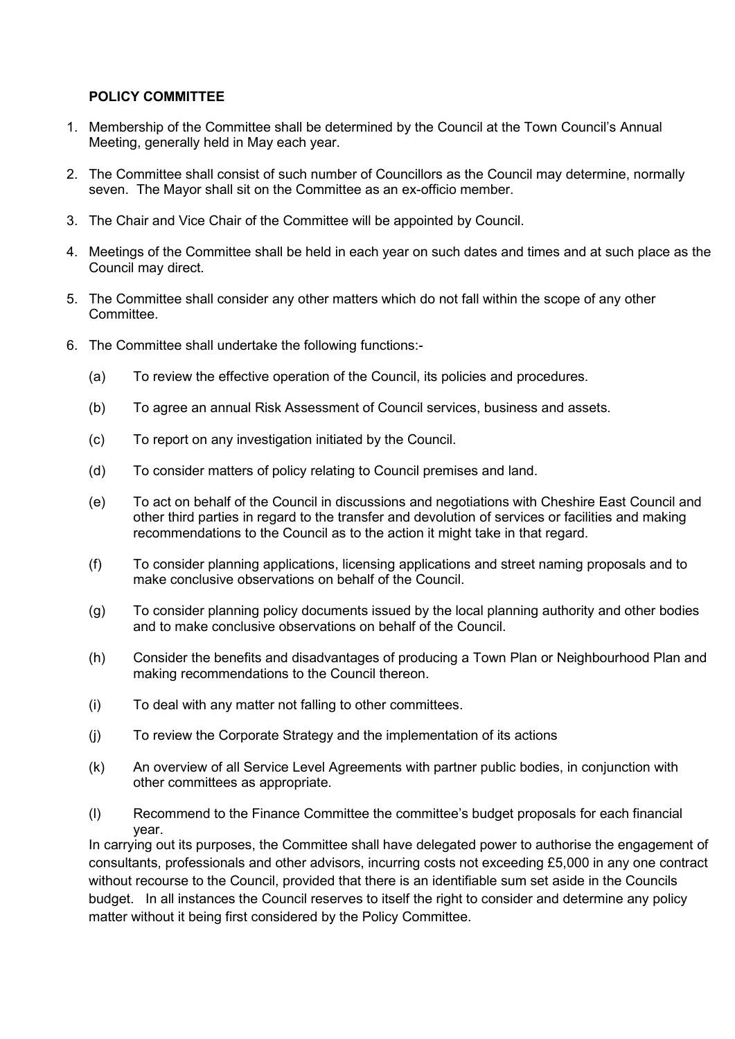### **POLICY COMMITTEE**

- 1. Membership of the Committee shall be determined by the Council at the Town Council's Annual Meeting, generally held in May each year.
- 2. The Committee shall consist of such number of Councillors as the Council may determine, normally seven. The Mayor shall sit on the Committee as an ex-officio member.
- 3. The Chair and Vice Chair of the Committee will be appointed by Council.
- 4. Meetings of the Committee shall be held in each year on such dates and times and at such place as the Council may direct.
- 5. The Committee shall consider any other matters which do not fall within the scope of any other Committee.
- 6. The Committee shall undertake the following functions:-
	- (a) To review the effective operation of the Council, its policies and procedures.
	- (b) To agree an annual Risk Assessment of Council services, business and assets.
	- (c) To report on any investigation initiated by the Council.
	- (d) To consider matters of policy relating to Council premises and land.
	- (e) To act on behalf of the Council in discussions and negotiations with Cheshire East Council and other third parties in regard to the transfer and devolution of services or facilities and making recommendations to the Council as to the action it might take in that regard.
	- (f) To consider planning applications, licensing applications and street naming proposals and to make conclusive observations on behalf of the Council.
	- (g) To consider planning policy documents issued by the local planning authority and other bodies and to make conclusive observations on behalf of the Council.
	- (h) Consider the benefits and disadvantages of producing a Town Plan or Neighbourhood Plan and making recommendations to the Council thereon.
	- (i) To deal with any matter not falling to other committees.
	- (j) To review the Corporate Strategy and the implementation of its actions
	- (k) An overview of all Service Level Agreements with partner public bodies, in conjunction with other committees as appropriate.
	- (l) Recommend to the Finance Committee the committee's budget proposals for each financial year.

In carrying out its purposes, the Committee shall have delegated power to authorise the engagement of consultants, professionals and other advisors, incurring costs not exceeding £5,000 in any one contract without recourse to the Council, provided that there is an identifiable sum set aside in the Councils budget. In all instances the Council reserves to itself the right to consider and determine any policy matter without it being first considered by the Policy Committee.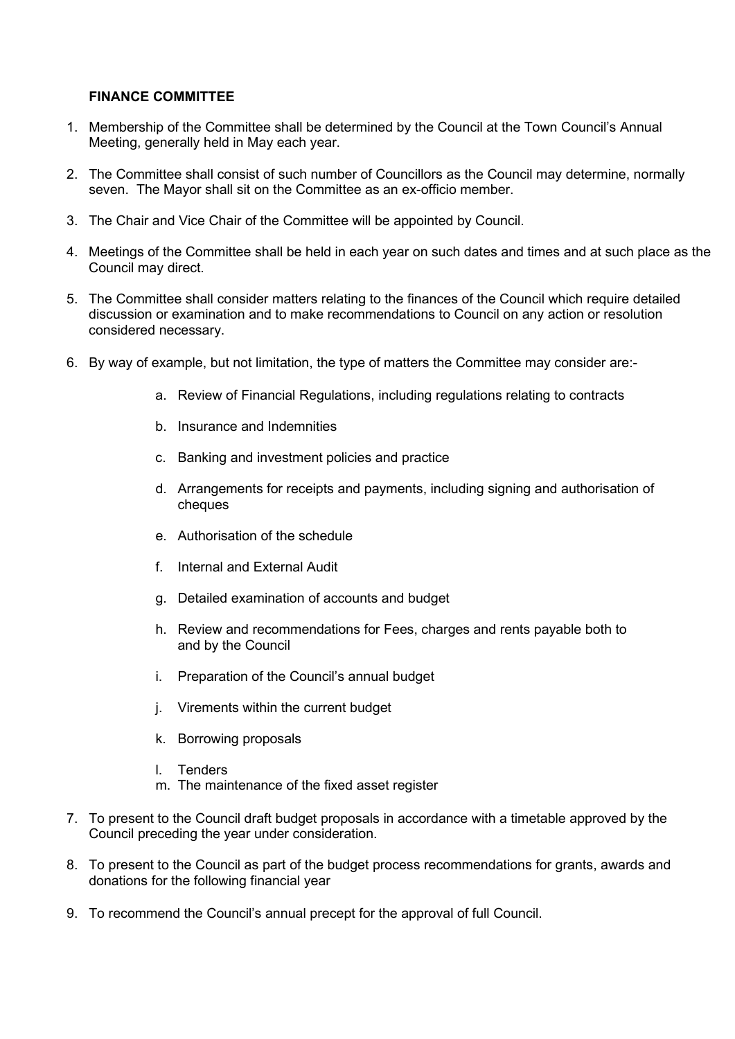#### **FINANCE COMMITTEE**

- 1. Membership of the Committee shall be determined by the Council at the Town Council's Annual Meeting, generally held in May each year.
- 2. The Committee shall consist of such number of Councillors as the Council may determine, normally seven. The Mayor shall sit on the Committee as an ex-officio member.
- 3. The Chair and Vice Chair of the Committee will be appointed by Council.
- 4. Meetings of the Committee shall be held in each year on such dates and times and at such place as the Council may direct.
- 5. The Committee shall consider matters relating to the finances of the Council which require detailed discussion or examination and to make recommendations to Council on any action or resolution considered necessary.
- 6. By way of example, but not limitation, the type of matters the Committee may consider are:
	- a. Review of Financial Regulations, including regulations relating to contracts
	- b. Insurance and Indemnities
	- c. Banking and investment policies and practice
	- d. Arrangements for receipts and payments, including signing and authorisation of cheques
	- e. Authorisation of the schedule
	- f. Internal and External Audit
	- g. Detailed examination of accounts and budget
	- h. Review and recommendations for Fees, charges and rents payable both to and by the Council
	- i. Preparation of the Council's annual budget
	- j. Virements within the current budget
	- k. Borrowing proposals
	- l. Tenders
	- m. The maintenance of the fixed asset register
- 7. To present to the Council draft budget proposals in accordance with a timetable approved by the Council preceding the year under consideration.
- 8. To present to the Council as part of the budget process recommendations for grants, awards and donations for the following financial year
- 9. To recommend the Council's annual precept for the approval of full Council.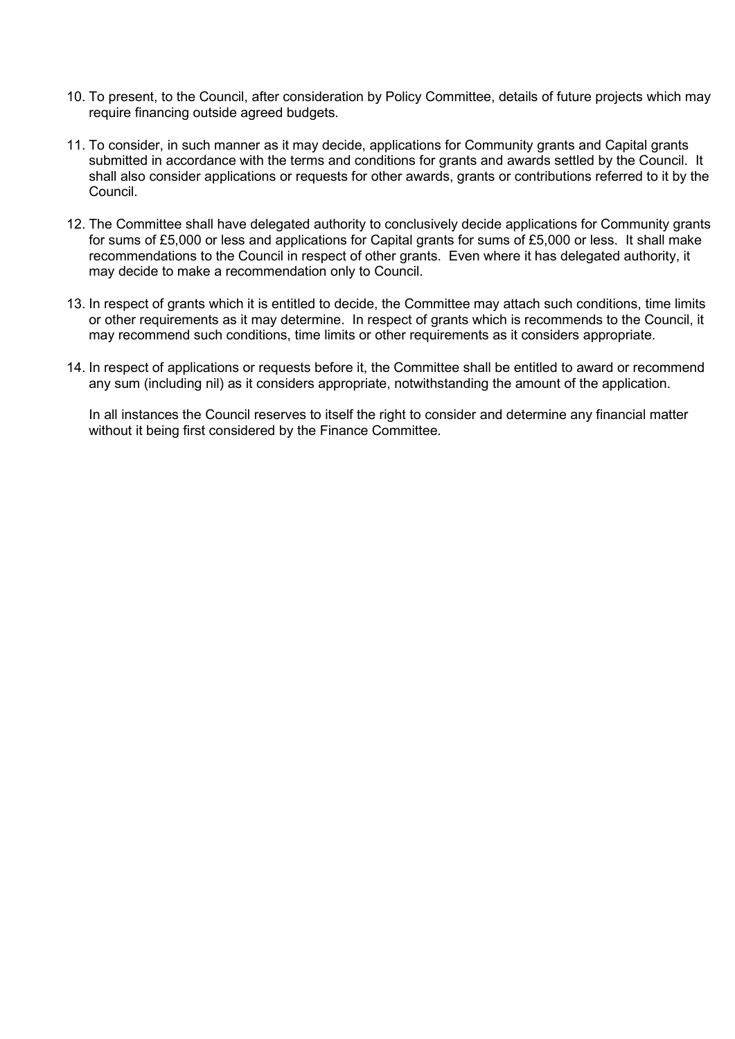- 10. To present, to the Council, after consideration by Policy Committee, details of future projects which may require financing outside agreed budgets.
- 11. To consider, in such manner as it may decide, applications for Community grants and Capital grants submitted in accordance with the terms and conditions for grants and awards settled by the Council. It shall also consider applications or requests for other awards, grants or contributions referred to it by the Council.
- 12. The Committee shall have delegated authority to conclusively decide applications for Community grants for sums of £5,000 or less and applications for Capital grants for sums of £5,000 or less. It shall make recommendations to the Council in respect of other grants. Even where it has delegated authority, it may decide to make a recommendation only to Council.
- 13. In respect of grants which it is entitled to decide, the Committee may attach such conditions, time limits or other requirements as it may determine. In respect of grants which is recommends to the Council, it may recommend such conditions, time limits or other requirements as it considers appropriate.
- 14. In respect of applications or requests before it, the Committee shall be entitled to award or recommend any sum (including nil) as it considers appropriate, notwithstanding the amount of the application.

In all instances the Council reserves to itself the right to consider and determine any financial matter without it being first considered by the Finance Committee.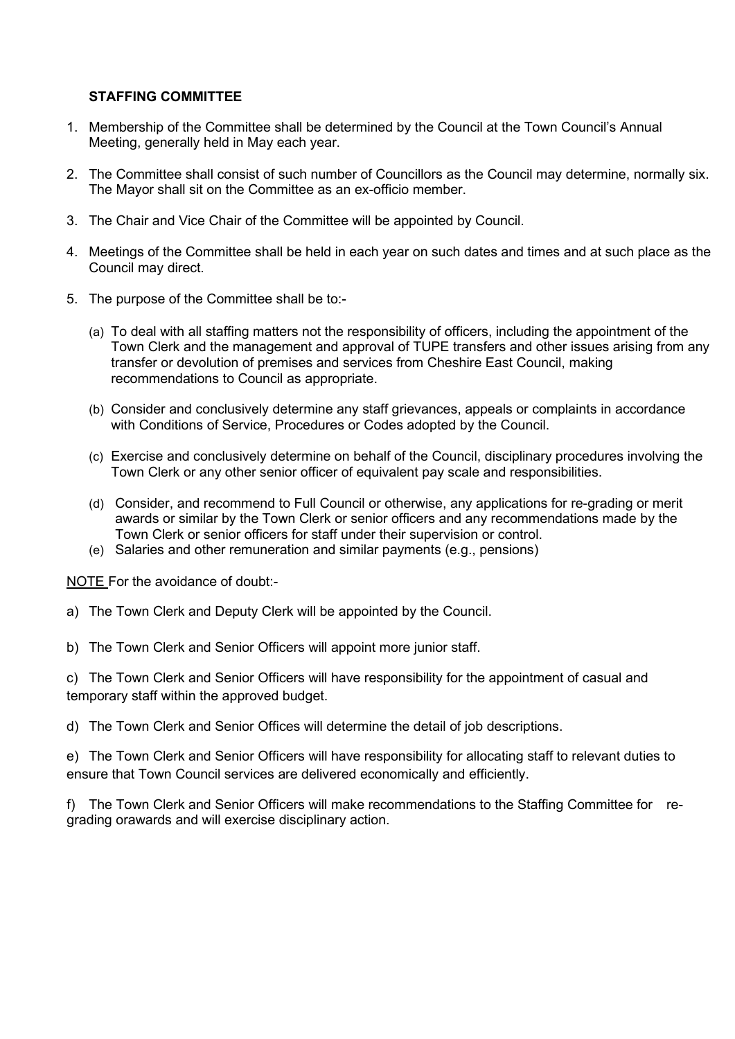#### **STAFFING COMMITTEE**

- 1. Membership of the Committee shall be determined by the Council at the Town Council's Annual Meeting, generally held in May each year.
- 2. The Committee shall consist of such number of Councillors as the Council may determine, normally six. The Mayor shall sit on the Committee as an ex-officio member.
- 3. The Chair and Vice Chair of the Committee will be appointed by Council.
- 4. Meetings of the Committee shall be held in each year on such dates and times and at such place as the Council may direct.
- 5. The purpose of the Committee shall be to:-
	- (a) To deal with all staffing matters not the responsibility of officers, including the appointment of the Town Clerk and the management and approval of TUPE transfers and other issues arising from any transfer or devolution of premises and services from Cheshire East Council, making recommendations to Council as appropriate.
	- (b) Consider and conclusively determine any staff grievances, appeals or complaints in accordance with Conditions of Service, Procedures or Codes adopted by the Council.
	- (c) Exercise and conclusively determine on behalf of the Council, disciplinary procedures involving the Town Clerk or any other senior officer of equivalent pay scale and responsibilities.
	- (d) Consider, and recommend to Full Council or otherwise, any applications for re-grading or merit awards or similar by the Town Clerk or senior officers and any recommendations made by the Town Clerk or senior officers for staff under their supervision or control.
	- (e) Salaries and other remuneration and similar payments (e.g., pensions)

NOTE For the avoidance of doubt:-

- a) The Town Clerk and Deputy Clerk will be appointed by the Council.
- b) The Town Clerk and Senior Officers will appoint more junior staff.

c) The Town Clerk and Senior Officers will have responsibility for the appointment of casual and temporary staff within the approved budget.

d) The Town Clerk and Senior Offices will determine the detail of job descriptions.

e) The Town Clerk and Senior Officers will have responsibility for allocating staff to relevant duties to ensure that Town Council services are delivered economically and efficiently.

f) The Town Clerk and Senior Officers will make recommendations to the Staffing Committee for regrading orawards and will exercise disciplinary action.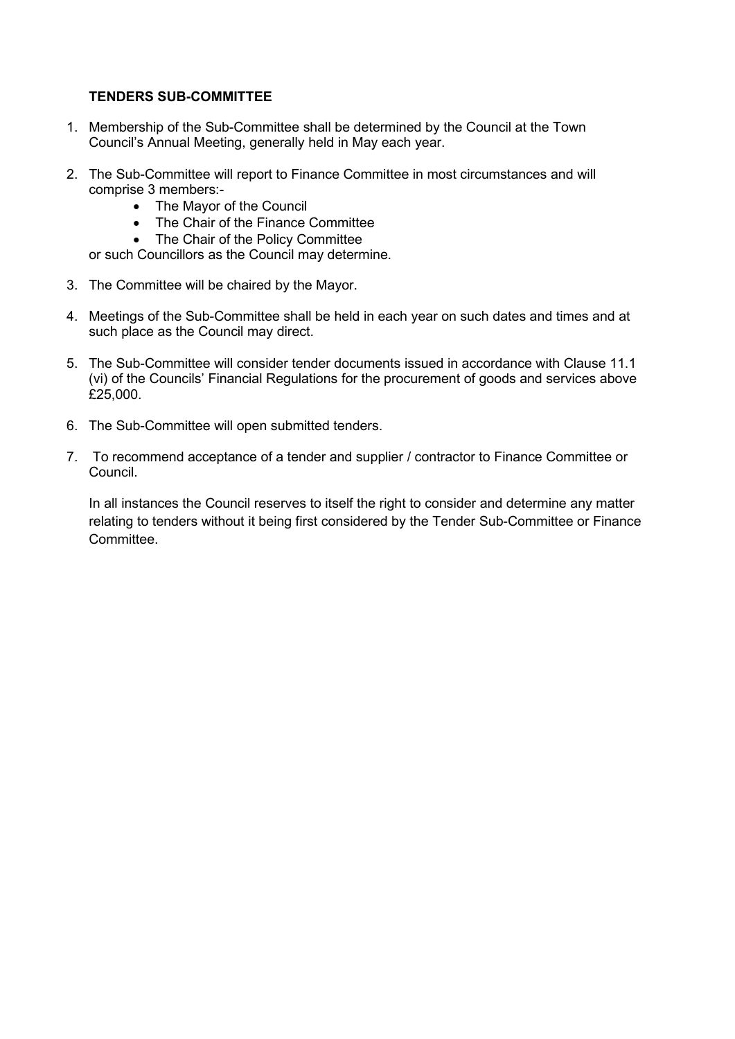#### **TENDERS SUB-COMMITTEE**

- 1. Membership of the Sub-Committee shall be determined by the Council at the Town Council's Annual Meeting, generally held in May each year.
- 2. The Sub-Committee will report to Finance Committee in most circumstances and will comprise 3 members:-
	- The Mayor of the Council
	- The Chair of the Finance Committee
	- The Chair of the Policy Committee

or such Councillors as the Council may determine.

- 3. The Committee will be chaired by the Mayor.
- 4. Meetings of the Sub-Committee shall be held in each year on such dates and times and at such place as the Council may direct.
- 5. The Sub-Committee will consider tender documents issued in accordance with Clause 11.1 (vi) of the Councils' Financial Regulations for the procurement of goods and services above £25,000.
- 6. The Sub-Committee will open submitted tenders.
- 7. To recommend acceptance of a tender and supplier / contractor to Finance Committee or Council.

In all instances the Council reserves to itself the right to consider and determine any matter relating to tenders without it being first considered by the Tender Sub-Committee or Finance **Committee.**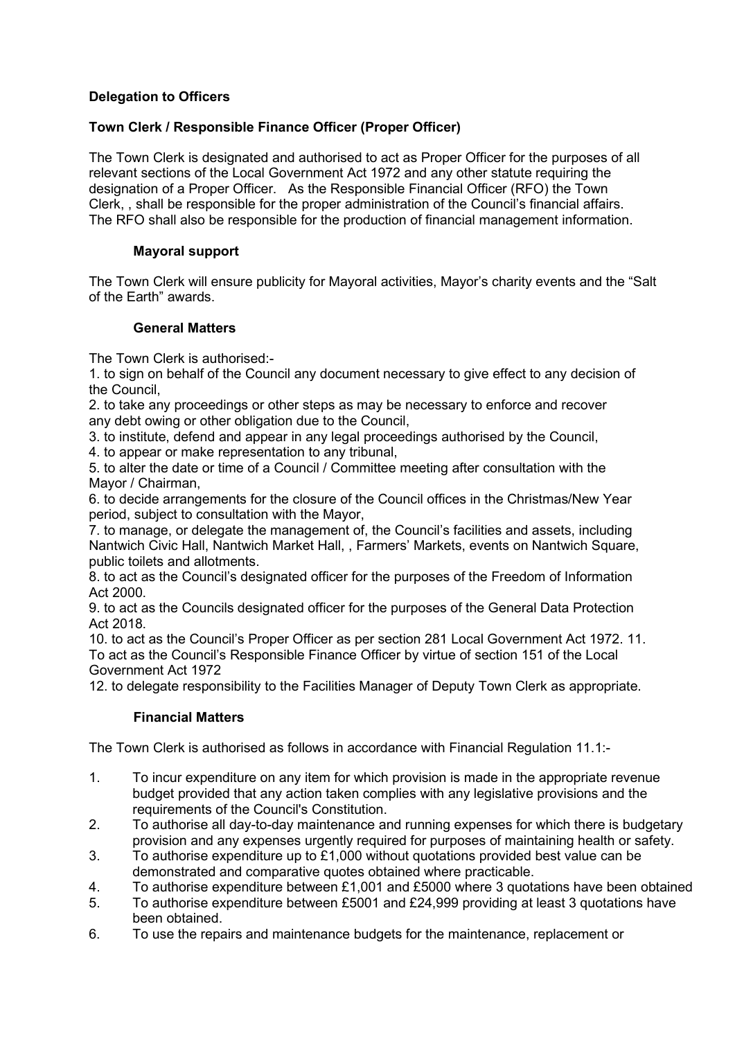# **Delegation to Officers**

# **Town Clerk / Responsible Finance Officer (Proper Officer)**

The Town Clerk is designated and authorised to act as Proper Officer for the purposes of all relevant sections of the Local Government Act 1972 and any other statute requiring the designation of a Proper Officer. As the Responsible Financial Officer (RFO) the Town Clerk, , shall be responsible for the proper administration of the Council's financial affairs. The RFO shall also be responsible for the production of financial management information.

### **Mayoral support**

The Town Clerk will ensure publicity for Mayoral activities, Mayor's charity events and the "Salt of the Earth" awards.

#### **General Matters**

The Town Clerk is authorised:-

1. to sign on behalf of the Council any document necessary to give effect to any decision of the Council,

2. to take any proceedings or other steps as may be necessary to enforce and recover any debt owing or other obligation due to the Council,

3. to institute, defend and appear in any legal proceedings authorised by the Council,

4. to appear or make representation to any tribunal,

5. to alter the date or time of a Council / Committee meeting after consultation with the Mayor / Chairman,

6. to decide arrangements for the closure of the Council offices in the Christmas/New Year period, subject to consultation with the Mayor,

7. to manage, or delegate the management of, the Council's facilities and assets, including Nantwich Civic Hall, Nantwich Market Hall, , Farmers' Markets, events on Nantwich Square, public toilets and allotments.

8. to act as the Council's designated officer for the purposes of the Freedom of Information Act 2000.

9. to act as the Councils designated officer for the purposes of the General Data Protection Act 2018.

10. to act as the Council's Proper Officer as per section 281 Local Government Act 1972. 11. To act as the Council's Responsible Finance Officer by virtue of section 151 of the Local Government Act 1972

12. to delegate responsibility to the Facilities Manager of Deputy Town Clerk as appropriate.

# **Financial Matters**

The Town Clerk is authorised as follows in accordance with Financial Regulation 11.1:-

- 1. To incur expenditure on any item for which provision is made in the appropriate revenue budget provided that any action taken complies with any legislative provisions and the requirements of the Council's Constitution.
- 2. To authorise all day-to-day maintenance and running expenses for which there is budgetary provision and any expenses urgently required for purposes of maintaining health or safety.
- 3. To authorise expenditure up to £1,000 without quotations provided best value can be demonstrated and comparative quotes obtained where practicable.
- 4. To authorise expenditure between £1,001 and £5000 where 3 quotations have been obtained
- 5. To authorise expenditure between £5001 and £24,999 providing at least 3 quotations have been obtained.
- 6. To use the repairs and maintenance budgets for the maintenance, replacement or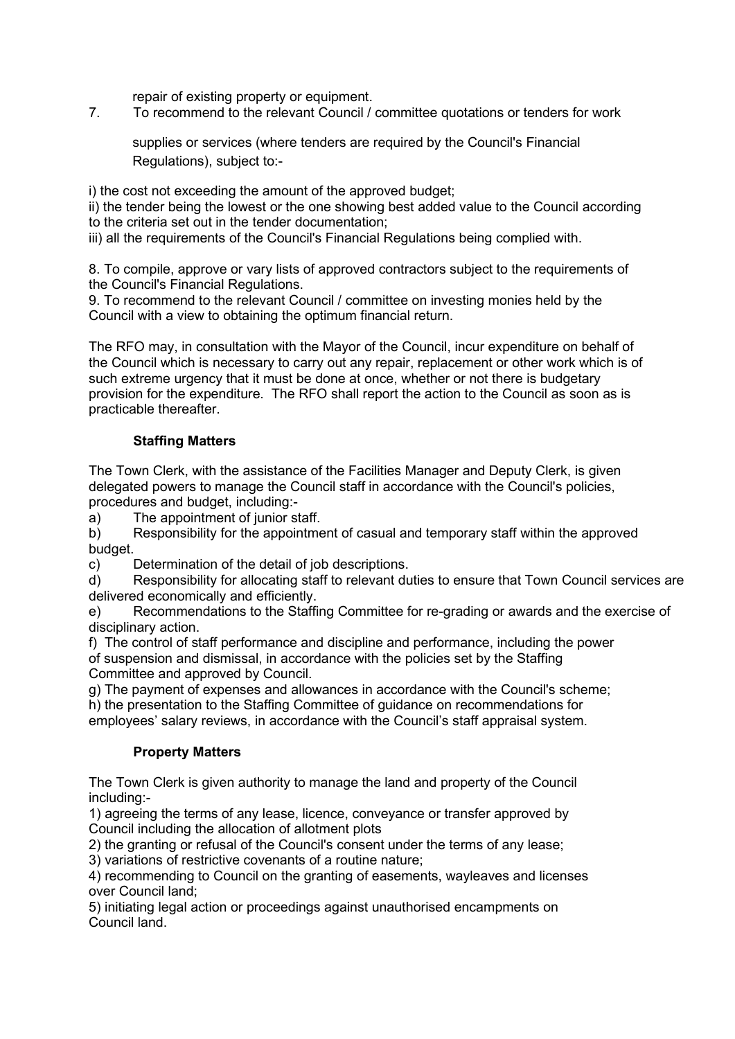repair of existing property or equipment.

7. To recommend to the relevant Council / committee quotations or tenders for work

supplies or services (where tenders are required by the Council's Financial Regulations), subject to:-

i) the cost not exceeding the amount of the approved budget;

ii) the tender being the lowest or the one showing best added value to the Council according to the criteria set out in the tender documentation;

iii) all the requirements of the Council's Financial Regulations being complied with.

8. To compile, approve or vary lists of approved contractors subject to the requirements of the Council's Financial Regulations.

9. To recommend to the relevant Council / committee on investing monies held by the Council with a view to obtaining the optimum financial return.

The RFO may, in consultation with the Mayor of the Council, incur expenditure on behalf of the Council which is necessary to carry out any repair, replacement or other work which is of such extreme urgency that it must be done at once, whether or not there is budgetary provision for the expenditure. The RFO shall report the action to the Council as soon as is practicable thereafter.

# **Staffing Matters**

The Town Clerk, with the assistance of the Facilities Manager and Deputy Clerk, is given delegated powers to manage the Council staff in accordance with the Council's policies, procedures and budget, including:-

a) The appointment of junior staff.

b) Responsibility for the appointment of casual and temporary staff within the approved budget.

c) Determination of the detail of job descriptions.

d) Responsibility for allocating staff to relevant duties to ensure that Town Council services are delivered economically and efficiently.

e) Recommendations to the Staffing Committee for re-grading or awards and the exercise of disciplinary action.

f) The control of staff performance and discipline and performance, including the power of suspension and dismissal, in accordance with the policies set by the Staffing Committee and approved by Council.

g) The payment of expenses and allowances in accordance with the Council's scheme;

h) the presentation to the Staffing Committee of guidance on recommendations for employees' salary reviews, in accordance with the Council's staff appraisal system.

#### **Property Matters**

The Town Clerk is given authority to manage the land and property of the Council including:-

1) agreeing the terms of any lease, licence, conveyance or transfer approved by Council including the allocation of allotment plots

2) the granting or refusal of the Council's consent under the terms of any lease;

3) variations of restrictive covenants of a routine nature;

4) recommending to Council on the granting of easements, wayleaves and licenses over Council land;

5) initiating legal action or proceedings against unauthorised encampments on Council land.